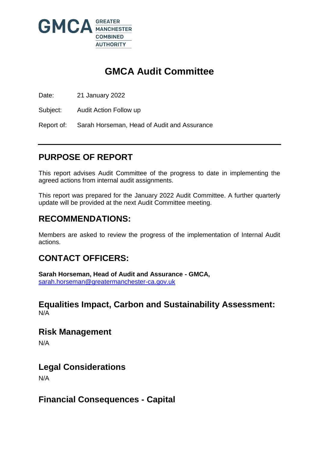

# **GMCA Audit Committee**

Date: 21 January 2022

Subject: Audit Action Follow up

Report of: Sarah Horseman, Head of Audit and Assurance

## **PURPOSE OF REPORT**

This report advises Audit Committee of the progress to date in implementing the agreed actions from internal audit assignments.

This report was prepared for the January 2022 Audit Committee. A further quarterly update will be provided at the next Audit Committee meeting.

## **RECOMMENDATIONS:**

Members are asked to review the progress of the implementation of Internal Audit actions.

## **CONTACT OFFICERS:**

**Sarah Horseman, Head of Audit and Assurance - GMCA,**  [sarah.horseman@greatermanchester-ca.gov.uk](mailto:sarah.horseman@greatermanchester-ca.gov.uk)

### **Equalities Impact, Carbon and Sustainability Assessment:** N/A

**Risk Management** 

N/A

### **Legal Considerations**

N/A

## **Financial Consequences - Capital**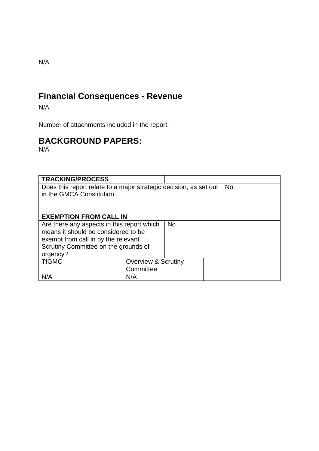# **Financial Consequences - Revenue**

N/A

Number of attachments included in the report:

# **BACKGROUND PAPERS:**

N/A

| <b>TRACKING/PROCESS</b>                                           |                                |  |           |
|-------------------------------------------------------------------|--------------------------------|--|-----------|
| Does this report relate to a major strategic decision, as set out |                                |  | <b>No</b> |
| in the GMCA Constitution                                          |                                |  |           |
|                                                                   |                                |  |           |
|                                                                   |                                |  |           |
| <b>EXEMPTION FROM CALL IN</b>                                     |                                |  |           |
| Are there any aspects in this report which                        |                                |  |           |
| means it should be considered to be                               |                                |  |           |
| exempt from call in by the relevant                               |                                |  |           |
| Scrutiny Committee on the grounds of                              |                                |  |           |
| urgency?                                                          |                                |  |           |
| <b>TfGMC</b>                                                      | <b>Overview &amp; Scrutiny</b> |  |           |
|                                                                   | Committee                      |  |           |
| N/A                                                               | N/A                            |  |           |

N/A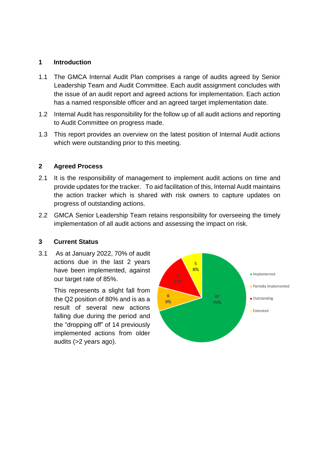### **1 Introduction**

- 1.1 The GMCA Internal Audit Plan comprises a range of audits agreed by Senior Leadership Team and Audit Committee. Each audit assignment concludes with the issue of an audit report and agreed actions for implementation. Each action has a named responsible officer and an agreed target implementation date.
- 1.2 Internal Audit has responsibility for the follow up of all audit actions and reporting to Audit Committee on progress made.
- 1.3 This report provides an overview on the latest position of Internal Audit actions which were outstanding prior to this meeting.

### **2 Agreed Process**

- 2.1 It is the responsibility of management to implement audit actions on time and provide updates for the tracker. To aid facilitation of this, Internal Audit maintains the action tracker which is shared with risk owners to capture updates on progress of outstanding actions.
- 2.2 GMCA Senior Leadership Team retains responsibility for overseeing the timely implementation of all audit actions and assessing the impact on risk.

#### **3 Current Status**

3.1 As at January 2022, 70% of audit actions due in the last 2 years have been implemented, against our target rate of 85%.

> This represents a slight fall from the Q2 position of 80% and is as a result of several new actions falling due during the period and the "dropping off" of 14 previously implemented actions from older audits (>2 years ago).

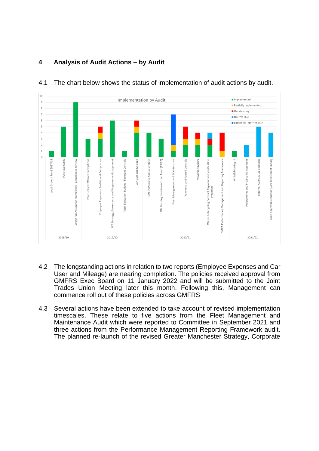

### 4.1 The chart below shows the status of implementation of audit actions by audit.

**4 Analysis of Audit Actions – by Audit**

- 4.2 The longstanding actions in relation to two reports (Employee Expenses and Car User and Mileage) are nearing completion. The policies received approval from GMFRS Exec Board on 11 January 2022 and will be submitted to the Joint Trades Union Meeting later this month. Following this, Management can commence roll out of these policies across GMFRS
- 4.3 Several actions have been extended to take account of revised implementation timescales. These relate to five actions from the Fleet Management and Maintenance Audit which were reported to Committee in September 2021 and three actions from the Performance Management Reporting Framework audit. The planned re-launch of the revised Greater Manchester Strategy, Corporate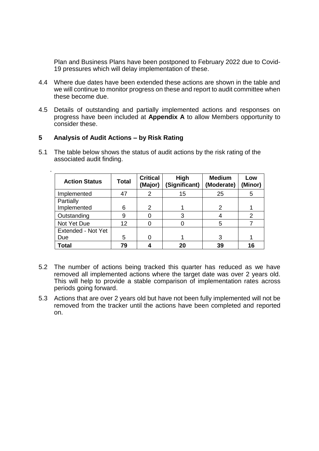Plan and Business Plans have been postponed to February 2022 due to Covid-19 pressures which will delay implementation of these.

- 4.4 Where due dates have been extended these actions are shown in the table and we will continue to monitor progress on these and report to audit committee when these become due.
- 4.5 Details of outstanding and partially implemented actions and responses on progress have been included at **Appendix A** to allow Members opportunity to consider these.

#### **5 Analysis of Audit Actions – by Risk Rating**

.

5.1 The table below shows the status of audit actions by the risk rating of the associated audit finding.

| <b>Action Status</b> | <b>Total</b> | <b>Critical</b><br>(Major) | High<br>(Significant) | <b>Medium</b><br>(Moderate) | Low<br>(Minor) |
|----------------------|--------------|----------------------------|-----------------------|-----------------------------|----------------|
| Implemented          | 47           | 2                          | 15                    | 25                          | 5              |
| Partially            |              |                            |                       |                             |                |
| Implemented          | 6            | $\mathcal{P}$              |                       | 2                           |                |
| Outstanding          | 9            |                            |                       |                             | 2              |
| Not Yet Due          | 12           |                            |                       | 5                           |                |
| Extended - Not Yet   |              |                            |                       |                             |                |
| Due                  | 5            |                            |                       | 3                           |                |
| <b>Total</b>         | 79           |                            | 20                    | 39                          | 16             |

- 5.2 The number of actions being tracked this quarter has reduced as we have removed all implemented actions where the target date was over 2 years old. This will help to provide a stable comparison of implementation rates across periods going forward.
- 5.3 Actions that are over 2 years old but have not been fully implemented will not be removed from the tracker until the actions have been completed and reported on.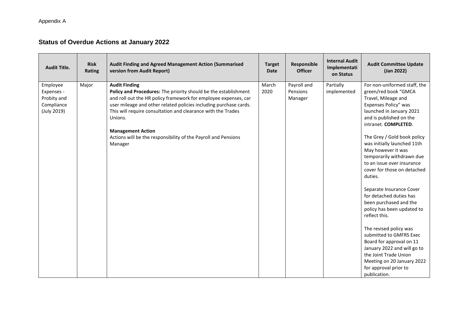### **Status of Overdue Actions at January 2022**

| <b>Audit Title.</b>                                                | <b>Risk</b><br>Rating | Audit Finding and Agreed Management Action (Summarised<br>version from Audit Report)                                                                                                                                                                                                                                                                                                                                | <b>Target</b><br><b>Date</b> | Responsible<br><b>Officer</b>      | <b>Internal Audit</b><br>Implementati<br>on Status | <b>Audit Committee Update</b><br>(Jan 2022)                                                                                                                                                                                                                                                                                                                                                                                                                                                                                                                                                                                                                                                                                 |
|--------------------------------------------------------------------|-----------------------|---------------------------------------------------------------------------------------------------------------------------------------------------------------------------------------------------------------------------------------------------------------------------------------------------------------------------------------------------------------------------------------------------------------------|------------------------------|------------------------------------|----------------------------------------------------|-----------------------------------------------------------------------------------------------------------------------------------------------------------------------------------------------------------------------------------------------------------------------------------------------------------------------------------------------------------------------------------------------------------------------------------------------------------------------------------------------------------------------------------------------------------------------------------------------------------------------------------------------------------------------------------------------------------------------------|
| Employee<br>Expenses -<br>Probity and<br>Compliance<br>(July 2019) | Major                 | <b>Audit Finding</b><br>Policy and Procedures: The priority should be the establishment<br>and roll out the HR policy framework for employee expenses, car<br>user mileage and other related policies including purchase cards.<br>This will require consultation and clearance with the Trades<br>Unions.<br><b>Management Action</b><br>Actions will be the responsibility of the Payroll and Pensions<br>Manager | March<br>2020                | Payroll and<br>Pensions<br>Manager | Partially<br>implemented                           | For non-uniformed staff, the<br>green/red book "GMCA<br>Travel, Mileage and<br>Expenses Policy" was<br>launched in January 2021<br>and is published on the<br>intranet. COMPLETED.<br>The Grey / Gold book policy<br>was initially launched 11th<br>May however it was<br>temporarily withdrawn due<br>to an issue over insurance<br>cover for those on detached<br>duties.<br>Separate Insurance Cover<br>for detached duties has<br>been purchased and the<br>policy has been updated to<br>reflect this.<br>The revised policy was<br>submitted to GMFRS Exec<br>Board for approval on 11<br>January 2022 and will go to<br>the Joint Trade Union<br>Meeting on 20 January 2022<br>for approval prior to<br>publication. |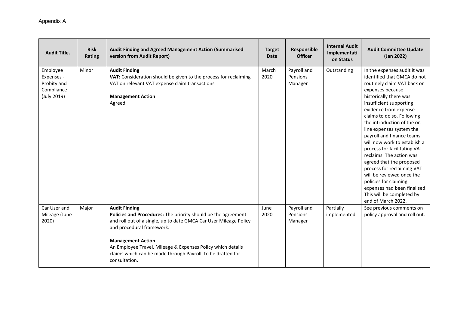| <b>Audit Title.</b>                                                | <b>Risk</b><br>Rating | <b>Audit Finding and Agreed Management Action (Summarised</b><br>version from Audit Report)                                                                                                                                                                                                                                                                        | <b>Target</b><br><b>Date</b> | Responsible<br><b>Officer</b>      | <b>Internal Audit</b><br>Implementati<br>on Status | <b>Audit Committee Update</b><br>(Jan 2022)                                                                                                                                                                                                                                                                                                                                                                                                                                                                                                                                                                       |
|--------------------------------------------------------------------|-----------------------|--------------------------------------------------------------------------------------------------------------------------------------------------------------------------------------------------------------------------------------------------------------------------------------------------------------------------------------------------------------------|------------------------------|------------------------------------|----------------------------------------------------|-------------------------------------------------------------------------------------------------------------------------------------------------------------------------------------------------------------------------------------------------------------------------------------------------------------------------------------------------------------------------------------------------------------------------------------------------------------------------------------------------------------------------------------------------------------------------------------------------------------------|
| Employee<br>Expenses -<br>Probity and<br>Compliance<br>(July 2019) | Minor                 | <b>Audit Finding</b><br>VAT: Consideration should be given to the process for reclaiming<br>VAT on relevant VAT expense claim transactions.<br><b>Management Action</b><br>Agreed                                                                                                                                                                                  | March<br>2020                | Payroll and<br>Pensions<br>Manager | Outstanding                                        | In the expenses audit it was<br>identified that GMCA do not<br>routinely claim VAT back on<br>expenses because<br>historically there was<br>insufficient supporting<br>evidence from expense<br>claims to do so. Following<br>the introduction of the on-<br>line expenses system the<br>payroll and finance teams<br>will now work to establish a<br>process for facilitating VAT<br>reclaims. The action was<br>agreed that the proposed<br>process for reclaiming VAT<br>will be reviewed once the<br>policies for claiming<br>expenses had been finalised.<br>This will be completed by<br>end of March 2022. |
| Car User and<br>Mileage (June<br>2020)                             | Major                 | <b>Audit Finding</b><br>Policies and Procedures: The priority should be the agreement<br>and roll out of a single, up to date GMCA Car User Mileage Policy<br>and procedural framework.<br><b>Management Action</b><br>An Employee Travel, Mileage & Expenses Policy which details<br>claims which can be made through Payroll, to be drafted for<br>consultation. | June<br>2020                 | Payroll and<br>Pensions<br>Manager | Partially<br>implemented                           | See previous comments on<br>policy approval and roll out.                                                                                                                                                                                                                                                                                                                                                                                                                                                                                                                                                         |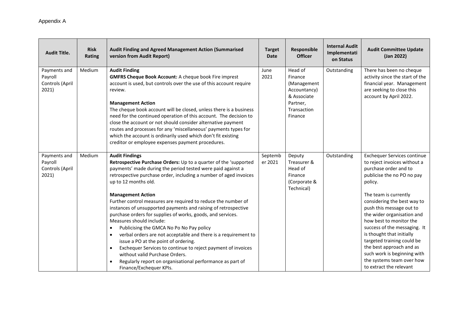| <b>Audit Title.</b>                                 | <b>Risk</b><br>Rating | <b>Audit Finding and Agreed Management Action (Summarised</b><br>version from Audit Report)                                                                                                                                                                                                                                                                                                                                                                                                                                                                                                                                                                                                                                                                                                                                                                                                                         | <b>Target</b><br><b>Date</b> | Responsible<br><b>Officer</b>                                                                          | <b>Internal Audit</b><br>Implementati<br>on Status | <b>Audit Committee Update</b><br>(Jan 2022)                                                                                                                                                                                                                                                                                                                                                                                                                                                     |
|-----------------------------------------------------|-----------------------|---------------------------------------------------------------------------------------------------------------------------------------------------------------------------------------------------------------------------------------------------------------------------------------------------------------------------------------------------------------------------------------------------------------------------------------------------------------------------------------------------------------------------------------------------------------------------------------------------------------------------------------------------------------------------------------------------------------------------------------------------------------------------------------------------------------------------------------------------------------------------------------------------------------------|------------------------------|--------------------------------------------------------------------------------------------------------|----------------------------------------------------|-------------------------------------------------------------------------------------------------------------------------------------------------------------------------------------------------------------------------------------------------------------------------------------------------------------------------------------------------------------------------------------------------------------------------------------------------------------------------------------------------|
| Payments and<br>Payroll<br>Controls (April<br>2021) | Medium                | <b>Audit Finding</b><br><b>GMFRS Cheque Book Account: A cheque book Fire imprest</b><br>account is used, but controls over the use of this account require<br>review.<br><b>Management Action</b><br>The cheque book account will be closed, unless there is a business<br>need for the continued operation of this account. The decision to<br>close the account or not should consider alternative payment<br>routes and processes for any 'miscellaneous' payments types for<br>which the account is ordinarily used which don't fit existing<br>creditor or employee expenses payment procedures.                                                                                                                                                                                                                                                                                                               | June<br>2021                 | Head of<br>Finance<br>(Management<br>Accountancy)<br>& Associate<br>Partner,<br>Transaction<br>Finance | Outstanding                                        | There has been no cheque<br>activity since the start of the<br>financial year. Management<br>are seeking to close this<br>account by April 2022.                                                                                                                                                                                                                                                                                                                                                |
| Payments and<br>Payroll<br>Controls (April<br>2021) | Medium                | <b>Audit Findings</b><br>Retrospective Purchase Orders: Up to a quarter of the 'supported<br>payments' made during the period tested were paid against a<br>retrospective purchase order, including a number of aged invoices<br>up to 12 months old.<br><b>Management Action</b><br>Further control measures are required to reduce the number of<br>instances of unsupported payments and raising of retrospective<br>purchase orders for supplies of works, goods, and services.<br>Measures should include:<br>Publicising the GMCA No Po No Pay policy<br>$\bullet$<br>verbal orders are not acceptable and there is a requirement to<br>$\bullet$<br>issue a PO at the point of ordering.<br>Exchequer Services to continue to reject payment of invoices<br>$\bullet$<br>without valid Purchase Orders.<br>Regularly report on organisational performance as part of<br>$\bullet$<br>Finance/Exchequer KPIs. | Septemb<br>er 2021           | Deputy<br>Treasurer &<br>Head of<br>Finance<br>(Corporate &<br>Technical)                              | Outstanding                                        | <b>Exchequer Services continue</b><br>to reject invoices without a<br>purchase order and to<br>publicise the no PO no pay<br>policy.<br>The team is currently<br>considering the best way to<br>push this message out to<br>the wider organisation and<br>how best to monitor the<br>success of the messaging. It<br>is thought that initially<br>targeted training could be<br>the best approach and as<br>such work is beginning with<br>the systems team over how<br>to extract the relevant |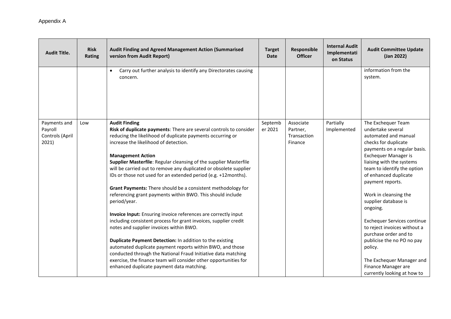| <b>Audit Title.</b>      | <b>Risk</b><br><b>Rating</b> | Audit Finding and Agreed Management Action (Summarised<br>version from Audit Report)                                               | <b>Target</b><br><b>Date</b> | Responsible<br><b>Officer</b> | <b>Internal Audit</b><br>Implementati<br>on Status | <b>Audit Committee Update</b><br>(Jan 2022)  |
|--------------------------|------------------------------|------------------------------------------------------------------------------------------------------------------------------------|------------------------------|-------------------------------|----------------------------------------------------|----------------------------------------------|
|                          |                              | Carry out further analysis to identify any Directorates causing<br>concern.                                                        |                              |                               |                                                    | information from the<br>system.              |
| Payments and             | Low                          | <b>Audit Finding</b>                                                                                                               | Septemb                      | Associate                     | Partially                                          | The Exchequer Team                           |
| Payroll                  |                              | Risk of duplicate payments: There are several controls to consider                                                                 | er 2021                      | Partner,                      | Implemented                                        | undertake several                            |
| Controls (April<br>2021) |                              | reducing the likelihood of duplicate payments occurring or<br>increase the likelihood of detection.                                |                              | Transaction<br>Finance        |                                                    | automated and manual<br>checks for duplicate |
|                          |                              |                                                                                                                                    |                              |                               |                                                    | payments on a regular basis.                 |
|                          |                              | <b>Management Action</b>                                                                                                           |                              |                               |                                                    | Exchequer Manager is                         |
|                          |                              | Supplier Masterfile: Regular cleansing of the supplier Masterfile                                                                  |                              |                               |                                                    | liaising with the systems                    |
|                          |                              | will be carried out to remove any duplicated or obsolete supplier                                                                  |                              |                               |                                                    | team to identify the option                  |
|                          |                              | IDs or those not used for an extended period (e.g. +12months).                                                                     |                              |                               |                                                    | of enhanced duplicate<br>payment reports.    |
|                          |                              | Grant Payments: There should be a consistent methodology for                                                                       |                              |                               |                                                    |                                              |
|                          |                              | referencing grant payments within BWO. This should include                                                                         |                              |                               |                                                    | Work in cleansing the                        |
|                          |                              | period/year.                                                                                                                       |                              |                               |                                                    | supplier database is                         |
|                          |                              |                                                                                                                                    |                              |                               |                                                    | ongoing.                                     |
|                          |                              | Invoice Input: Ensuring invoice references are correctly input<br>including consistent process for grant invoices, supplier credit |                              |                               |                                                    | <b>Exchequer Services continue</b>           |
|                          |                              | notes and supplier invoices within BWO.                                                                                            |                              |                               |                                                    | to reject invoices without a                 |
|                          |                              |                                                                                                                                    |                              |                               |                                                    | purchase order and to                        |
|                          |                              | Duplicate Payment Detection: In addition to the existing                                                                           |                              |                               |                                                    | publicise the no PO no pay                   |
|                          |                              | automated duplicate payment reports within BWO, and those                                                                          |                              |                               |                                                    | policy.                                      |
|                          |                              | conducted through the National Fraud Initiative data matching                                                                      |                              |                               |                                                    |                                              |
|                          |                              | exercise, the finance team will consider other opportunities for                                                                   |                              |                               |                                                    | The Exchequer Manager and                    |
|                          |                              | enhanced duplicate payment data matching.                                                                                          |                              |                               |                                                    | Finance Manager are                          |
|                          |                              |                                                                                                                                    |                              |                               |                                                    | currently looking at how to                  |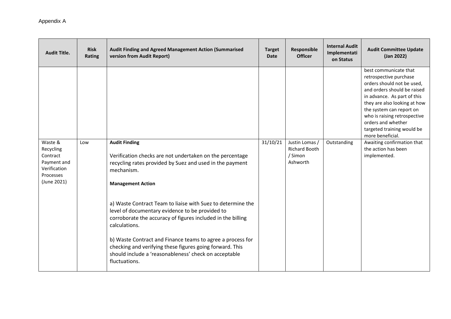| <b>Audit Title.</b>                                                                         | <b>Risk</b><br>Rating | Audit Finding and Agreed Management Action (Summarised<br>version from Audit Report)                                                                                                                                                                                                                                                                                                               | <b>Target</b><br><b>Date</b> | Responsible<br><b>Officer</b>                                 | <b>Internal Audit</b><br>Implementati<br>on Status | <b>Audit Committee Update</b><br>(Jan 2022)                                                                                                                                                                                                                                                                     |
|---------------------------------------------------------------------------------------------|-----------------------|----------------------------------------------------------------------------------------------------------------------------------------------------------------------------------------------------------------------------------------------------------------------------------------------------------------------------------------------------------------------------------------------------|------------------------------|---------------------------------------------------------------|----------------------------------------------------|-----------------------------------------------------------------------------------------------------------------------------------------------------------------------------------------------------------------------------------------------------------------------------------------------------------------|
|                                                                                             |                       |                                                                                                                                                                                                                                                                                                                                                                                                    |                              |                                                               |                                                    | best communicate that<br>retrospective purchase<br>orders should not be used,<br>and orders should be raised<br>in advance. As part of this<br>they are also looking at how<br>the system can report on<br>who is raising retrospective<br>orders and whether<br>targeted training would be<br>more beneficial. |
| Waste &<br>Recycling<br>Contract<br>Payment and<br>Verification<br>Processes<br>(June 2021) | Low                   | <b>Audit Finding</b><br>Verification checks are not undertaken on the percentage<br>recycling rates provided by Suez and used in the payment<br>mechanism.<br><b>Management Action</b>                                                                                                                                                                                                             | 31/10/21                     | Justin Lomas /<br><b>Richard Booth</b><br>/ Simon<br>Ashworth | Outstanding                                        | Awaiting confirmation that<br>the action has been<br>implemented.                                                                                                                                                                                                                                               |
|                                                                                             |                       | a) Waste Contract Team to liaise with Suez to determine the<br>level of documentary evidence to be provided to<br>corroborate the accuracy of figures included in the billing<br>calculations.<br>b) Waste Contract and Finance teams to agree a process for<br>checking and verifying these figures going forward. This<br>should include a 'reasonableness' check on acceptable<br>fluctuations. |                              |                                                               |                                                    |                                                                                                                                                                                                                                                                                                                 |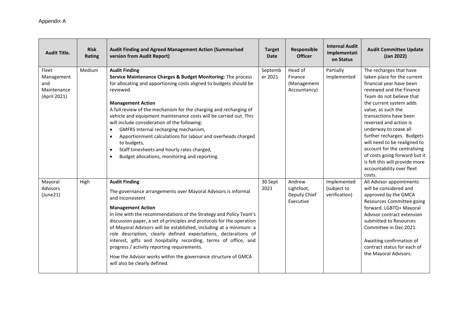| <b>Audit Title.</b>                                       | <b>Risk</b><br><b>Rating</b> | Audit Finding and Agreed Management Action (Summarised<br>version from Audit Report)                                                                                                                                                                                                                                                                                                                                                                                                                                                                                                                                                                                   | <b>Target</b><br><b>Date</b> | Responsible<br><b>Officer</b>                     | <b>Internal Audit</b><br>Implementati<br>on Status | <b>Audit Committee Update</b><br>(Jan 2022)                                                                                                                                                                                                                                                                                                                                                                                                                                      |
|-----------------------------------------------------------|------------------------------|------------------------------------------------------------------------------------------------------------------------------------------------------------------------------------------------------------------------------------------------------------------------------------------------------------------------------------------------------------------------------------------------------------------------------------------------------------------------------------------------------------------------------------------------------------------------------------------------------------------------------------------------------------------------|------------------------------|---------------------------------------------------|----------------------------------------------------|----------------------------------------------------------------------------------------------------------------------------------------------------------------------------------------------------------------------------------------------------------------------------------------------------------------------------------------------------------------------------------------------------------------------------------------------------------------------------------|
| Fleet<br>Management<br>and<br>Maintenance<br>(April 2021) | Medium                       | <b>Audit Finding</b><br>Service Maintenance Charges & Budget Monitoring: The process<br>for allocating and apportioning costs aligned to budgets should be<br>reviewed.<br><b>Management Action</b><br>A full review of the mechanism for the charging and recharging of<br>vehicle and equipment maintenance costs will be carried out. This<br>will include consideration of the following:<br>GMFRS Internal recharging mechanism,<br>$\bullet$<br>Apportionment calculations for labour and overheads charged<br>$\bullet$<br>to budgets,<br>Staff timesheets and hourly rates charged,<br>$\bullet$<br>Budget allocations, monitoring and reporting.<br>$\bullet$ | Septemb<br>er 2021           | Head of<br>Finance<br>(Management<br>Accountancy) | Partially<br>Implemented                           | The recharges that have<br>taken place for the current<br>financial year have been<br>reviewed and the Finance<br>Team do not believe that<br>the current system adds<br>value, as such the<br>transactions have been<br>reversed and action is<br>underway to cease all<br>further recharges. Budgets<br>will need to be realigned to<br>account for the centralising<br>of costs going forward but it<br>is felt this will provide more<br>accountability over fleet<br>costs. |
| Mayoral<br>Advisors<br>(June21)                           | High                         | <b>Audit Finding</b><br>The governance arrangements over Mayoral Advisors is informal<br>and inconsistent<br><b>Management Action</b><br>In line with the recommendations of the Strategy and Policy Team's<br>discussion paper, a set of principles and protocols for the operation<br>of Mayoral Advisors will be established, including at a minimum: a<br>role description, clearly defined expectations, declarations of<br>interest, gifts and hospitality recording, terms of office, and<br>progress / activity reporting requirements.<br>How the Advisor works within the governance structure of GMCA<br>will also be clearly defined.                      | 30 Sept<br>2021              | Andrew<br>Lightfoot,<br>Deputy Chief<br>Executive | Implemented<br>(subject to<br>verification)        | All Advisor appointments<br>will be considered and<br>approved by the GMCA<br>Resources Committee going<br>forward. LGBTQ+ Mayoral<br>Advisor contract extension<br>submitted to Resources<br>Committee in Dec 2021.<br>Awaiting confirmation of<br>contract status for each of<br>the Mayoral Advisors.                                                                                                                                                                         |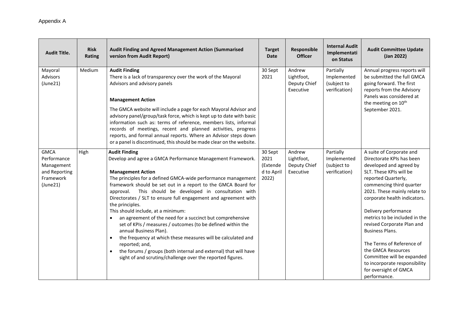| <b>Audit Title.</b>                                                                | <b>Risk</b><br>Rating | <b>Audit Finding and Agreed Management Action (Summarised</b><br>version from Audit Report)                                                                                                                                                                                                                                                                                                                                                                                                                                                                                                                                                                                                                                                                                                                                                                | <b>Target</b><br><b>Date</b>                       | Responsible<br><b>Officer</b>                     | <b>Internal Audit</b><br>Implementati<br>on Status       | <b>Audit Committee Update</b><br>(Jan 2022)                                                                                                                                                                                                                                                                                                                                                                                                                                                                |
|------------------------------------------------------------------------------------|-----------------------|------------------------------------------------------------------------------------------------------------------------------------------------------------------------------------------------------------------------------------------------------------------------------------------------------------------------------------------------------------------------------------------------------------------------------------------------------------------------------------------------------------------------------------------------------------------------------------------------------------------------------------------------------------------------------------------------------------------------------------------------------------------------------------------------------------------------------------------------------------|----------------------------------------------------|---------------------------------------------------|----------------------------------------------------------|------------------------------------------------------------------------------------------------------------------------------------------------------------------------------------------------------------------------------------------------------------------------------------------------------------------------------------------------------------------------------------------------------------------------------------------------------------------------------------------------------------|
| Mayoral<br><b>Advisors</b><br>(June21)                                             | Medium                | <b>Audit Finding</b><br>There is a lack of transparency over the work of the Mayoral<br>Advisors and advisory panels                                                                                                                                                                                                                                                                                                                                                                                                                                                                                                                                                                                                                                                                                                                                       | 30 Sept<br>2021                                    | Andrew<br>Lightfoot,<br>Deputy Chief<br>Executive | Partially<br>Implemented<br>(subject to<br>verification) | Annual progress reports will<br>be submitted the full GMCA<br>going forward. The first<br>reports from the Advisory<br>Panels was considered at                                                                                                                                                                                                                                                                                                                                                            |
|                                                                                    |                       | <b>Management Action</b>                                                                                                                                                                                                                                                                                                                                                                                                                                                                                                                                                                                                                                                                                                                                                                                                                                   |                                                    |                                                   |                                                          | the meeting on 10 <sup>th</sup>                                                                                                                                                                                                                                                                                                                                                                                                                                                                            |
|                                                                                    |                       | The GMCA website will include a page for each Mayoral Advisor and<br>advisory panel/group/task force, which is kept up to date with basic<br>information such as: terms of reference, members lists, informal<br>records of meetings, recent and planned activities, progress<br>reports, and formal annual reports. Where an Advisor steps down<br>or a panel is discontinued, this should be made clear on the website.                                                                                                                                                                                                                                                                                                                                                                                                                                  |                                                    |                                                   |                                                          | September 2021.                                                                                                                                                                                                                                                                                                                                                                                                                                                                                            |
| <b>GMCA</b><br>Performance<br>Management<br>and Reporting<br>Framework<br>(June21) | High                  | <b>Audit Finding</b><br>Develop and agree a GMCA Performance Management Framework.<br><b>Management Action</b><br>The principles for a defined GMCA-wide performance management<br>framework should be set out in a report to the GMCA Board for<br>This should be developed in consultation with<br>approval.<br>Directorates / SLT to ensure full engagement and agreement with<br>the principles.<br>This should include, at a minimum:<br>an agreement of the need for a succinct but comprehensive<br>$\bullet$<br>set of KPIs / measures / outcomes (to be defined within the<br>annual Business Plan).<br>the frequency at which these measures will be calculated and<br>$\bullet$<br>reported; and,<br>the forums / groups (both internal and external) that will have<br>$\bullet$<br>sight of and scrutiny/challenge over the reported figures. | 30 Sept<br>2021<br>(Extende<br>d to April<br>2022) | Andrew<br>Lightfoot,<br>Deputy Chief<br>Executive | Partially<br>Implemented<br>(subject to<br>verification) | A suite of Corporate and<br>Directorate KPIs has been<br>developed and agreed by<br>SLT. These KPIs will be<br>reported Quarterly,<br>commencing third quarter<br>2021. These mainly relate to<br>corporate health indicators.<br>Delivery performance<br>metrics to be included in the<br>revised Corporate Plan and<br><b>Business Plans.</b><br>The Terms of Reference of<br>the GMCA Resources<br>Committee will be expanded<br>to incorporate responsibility<br>for oversight of GMCA<br>performance. |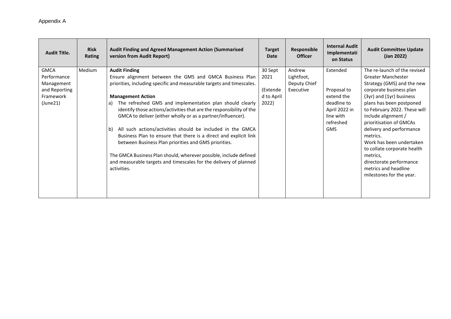| <b>Audit Title.</b>                                                                | <b>Risk</b><br>Rating | <b>Audit Finding and Agreed Management Action (Summarised</b><br>version from Audit Report)                                                                                                                                                                                                                                                                                                                                                                                                                                                                                                                                                                                                                                                            | <b>Target</b><br><b>Date</b>                       | Responsible<br><b>Officer</b>                     | <b>Internal Audit</b><br>Implementati<br>on Status                                                            | <b>Audit Committee Update</b><br>(Jan 2022)                                                                                                                                                                                                                                                                                                                                                                                                         |
|------------------------------------------------------------------------------------|-----------------------|--------------------------------------------------------------------------------------------------------------------------------------------------------------------------------------------------------------------------------------------------------------------------------------------------------------------------------------------------------------------------------------------------------------------------------------------------------------------------------------------------------------------------------------------------------------------------------------------------------------------------------------------------------------------------------------------------------------------------------------------------------|----------------------------------------------------|---------------------------------------------------|---------------------------------------------------------------------------------------------------------------|-----------------------------------------------------------------------------------------------------------------------------------------------------------------------------------------------------------------------------------------------------------------------------------------------------------------------------------------------------------------------------------------------------------------------------------------------------|
| <b>GMCA</b><br>Performance<br>Management<br>and Reporting<br>Framework<br>(June21) | <b>Medium</b>         | <b>Audit Finding</b><br>Ensure alignment between the GMS and GMCA Business Plan<br>priorities, including specific and measurable targets and timescales.<br><b>Management Action</b><br>The refreshed GMS and implementation plan should clearly<br>a)<br>identify those actions/activities that are the responsibility of the<br>GMCA to deliver (either wholly or as a partner/influencer).<br>All such actions/activities should be included in the GMCA<br>b)<br>Business Plan to ensure that there is a direct and explicit link<br>between Business Plan priorities and GMS priorities.<br>The GMCA Business Plan should, wherever possible, include defined<br>and measurable targets and timescales for the delivery of planned<br>activities. | 30 Sept<br>2021<br>(Extende<br>d to April<br>2022) | Andrew<br>Lightfoot,<br>Deputy Chief<br>Executive | Extended<br>Proposal to<br>extend the<br>deadline to<br>April 2022 in<br>line with<br>refreshed<br><b>GMS</b> | The re-launch of the revised<br>Greater Manchester<br>Strategy (GMS) and the new<br>corporate business plan<br>(3yr) and (1yr) business<br>plans has been postponed<br>to February 2022. These will<br>include alignment /<br>prioritisation of GMCAs<br>delivery and performance<br>metrics.<br>Work has been undertaken<br>to collate corporate health<br>metrics,<br>directorate performance<br>metrics and headline<br>milestones for the year. |